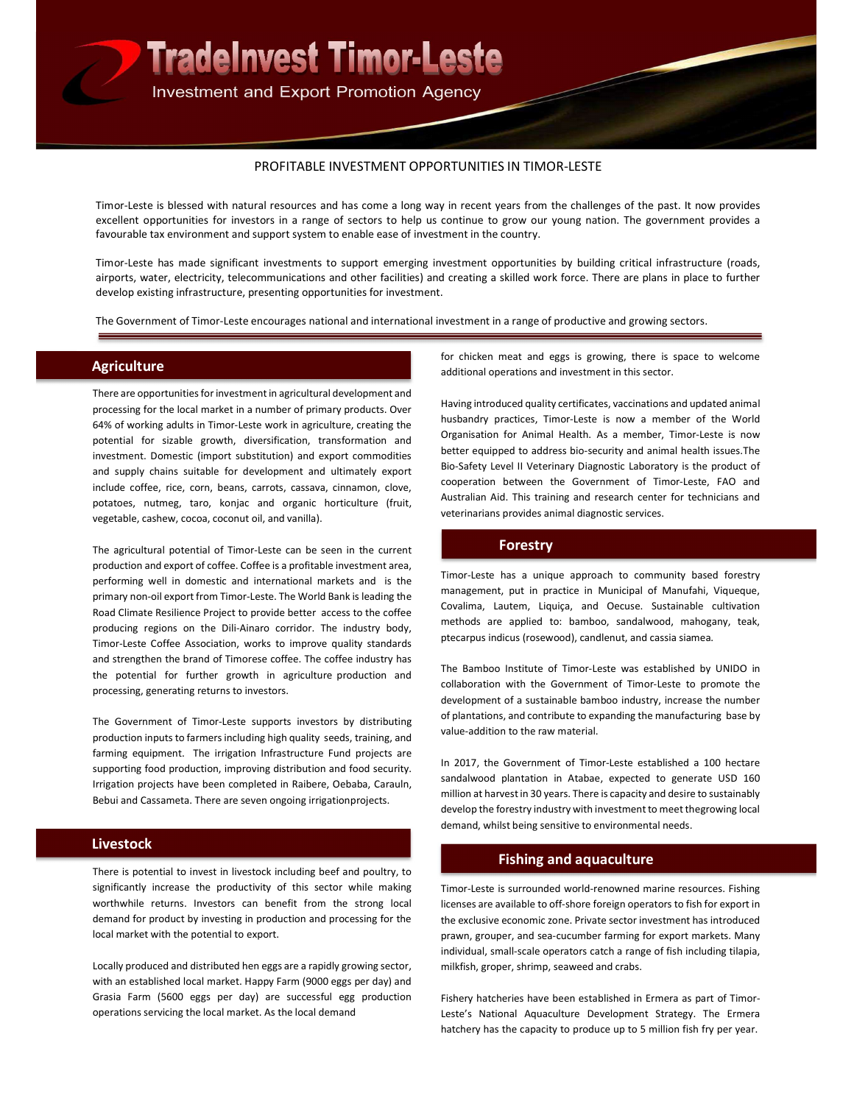

#### PROFITABLE INVESTMENT OPPORTUNITIES IN TIMOR-LESTE

Timor-Leste is blessed with natural resources and has come a long way in recent years from the challenges of the past. It now provides excellent opportunities for investors in a range of sectors to help us continue to grow our young nation. The government provides a favourable tax environment and support system to enable ease of investment in the country.

Timor-Leste has made significant investments to support emerging investment opportunities by building critical infrastructure (roads, airports, water, electricity, telecommunications and other facilities) and creating a skilled work force. There are plans in place to further develop existing infrastructure, presenting opportunities for investment.

The Government of Timor-Leste encourages national and international investment in a range of productive and growing sectors.

# **Agriculture**

There are opportunities for investment in agricultural development and processing for the local market in a number of primary products. Over 64% of working adults in Timor-Leste work in agriculture, creating the potential for sizable growth, diversification, transformation and investment. Domestic (import substitution) and export commodities and supply chains suitable for development and ultimately export include coffee, rice, corn, beans, carrots, cassava, cinnamon, clove, potatoes, nutmeg, taro, konjac and organic horticulture (fruit, vegetable, cashew, cocoa, coconut oil, and vanilla).

The agricultural potential of Timor-Leste can be seen in the current production and export of coffee. Coffee is a profitable investment area, performing well in domestic and international markets and is the primary non-oil export from Timor-Leste. The World Bank is leading the Road Climate Resilience Project to provide better access to the coffee producing regions on the Dili-Ainaro corridor. The industry body, Timor-Leste Coffee Association, works to improve quality standards and strengthen the brand of Timorese coffee. The coffee industry has the potential for further growth in agriculture production and processing, generating returns to investors.

The Government of Timor-Leste supports investors by distributing production inputs to farmers including high quality seeds, training, and farming equipment. The irrigation Infrastructure Fund projects are supporting food production, improving distribution and food security. Irrigation projects have been completed in Raibere, Oebaba, Carauln, Bebui and Cassameta. There are seven ongoing irrigation projects.

# Livestock

There is potential to invest in livestock including beef and poultry, to significantly increase the productivity of this sector while making worthwhile returns. Investors can benefit from the strong local demand for product by investing in production and processing for the local market with the potential to export.

Locally produced and distributed hen eggs are a rapidly growing sector, with an established local market. Happy Farm (9000 eggs per day) and Grasia Farm (5600 eggs per day) are successful egg production operations servicing the local market. As the local demand

for chicken meat and eggs is growing, there is space to welcome additional operations and investment in this sector.

Having introduced quality certificates, vaccinations and updated animal husbandry practices, Timor-Leste is now a member of the World Organisation for Animal Health. As a member, Timor-Leste is now better equipped to address bio-security and animal health issues. The Bio-Safety Level II Veterinary Diagnostic Laboratory is the product of cooperation between the Government of Timor-Leste, FAO and Australian Aid. This training and research center for technicians and veterinarians provides animal diagnostic services.

# Forestry

Timor-Leste has a unique approach to community based forestry management, put in practice in Municipal of Manufahi, Viqueque, Covalima, Lautem, Liquiça, and Oecuse. Sustainable cultivation methods are applied to: bamboo, sandalwood, mahogany, teak, ptecarpus indicus (rosewood), candlenut, and cassia siamea.

The Bamboo Institute of Timor-Leste was established by UNIDO in collaboration with the Government of Timor-Leste to promote the development of a sustainable bamboo industry, increase the number of plantations, and contribute to expanding the manufacturing base by value-addition to the raw material.

In 2017, the Government of Timor-Leste established a 100 hectare sandalwood plantation in Atabae, expected to generate USD 160 million at harvest in 30 years. There is capacity and desire to sustainably develop the forestry industry with investment to meet the growing local demand, whilst being sensitive to environmental needs.

### Fishing and aquaculture

Timor-Leste is surrounded world-renowned marine resources. Fishing licenses are available to off-shore foreign operators to fish for export in the exclusive economic zone. Private sector investment has introduced prawn, grouper, and sea-cucumber farming for export markets. Many individual, small-scale operators catch a range of fish including tilapia, milkfish, groper, shrimp, seaweed and crabs.

Fishery hatcheries have been established in Ermera as part of Timor-Leste's National Aquaculture Development Strategy. The Ermera hatchery has the capacity to produce up to 5 million fish fry per year.